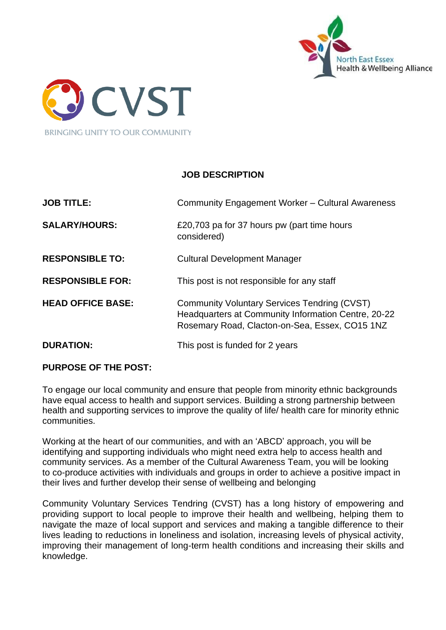



# **JOB DESCRIPTION**

| <b>JOB TITLE:</b>        | Community Engagement Worker - Cultural Awareness                                                                                                             |
|--------------------------|--------------------------------------------------------------------------------------------------------------------------------------------------------------|
| <b>SALARY/HOURS:</b>     | £20,703 pa for 37 hours pw (part time hours<br>considered)                                                                                                   |
| <b>RESPONSIBLE TO:</b>   | <b>Cultural Development Manager</b>                                                                                                                          |
| <b>RESPONSIBLE FOR:</b>  | This post is not responsible for any staff                                                                                                                   |
| <b>HEAD OFFICE BASE:</b> | <b>Community Voluntary Services Tendring (CVST)</b><br>Headquarters at Community Information Centre, 20-22<br>Rosemary Road, Clacton-on-Sea, Essex, CO15 1NZ |
| <b>DURATION:</b>         | This post is funded for 2 years                                                                                                                              |

#### **PURPOSE OF THE POST:**

To engage our local community and ensure that people from minority ethnic backgrounds have equal access to health and support services. Building a strong partnership between health and supporting services to improve the quality of life/ health care for minority ethnic communities.

Working at the heart of our communities, and with an 'ABCD' approach, you will be identifying and supporting individuals who might need extra help to access health and community services. As a member of the Cultural Awareness Team, you will be looking to co-produce activities with individuals and groups in order to achieve a positive impact in their lives and further develop their sense of wellbeing and belonging

Community Voluntary Services Tendring (CVST) has a long history of empowering and providing support to local people to improve their health and wellbeing, helping them to navigate the maze of local support and services and making a tangible difference to their lives leading to reductions in loneliness and isolation, increasing levels of physical activity, improving their management of long-term health conditions and increasing their skills and knowledge.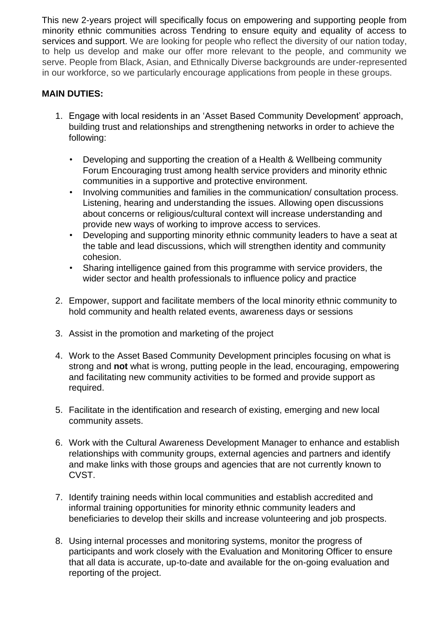This new 2-years project will specifically focus on empowering and supporting people from minority ethnic communities across Tendring to ensure equity and equality of access to services and support. We are looking for people who reflect the diversity of our nation today, to help us develop and make our offer more relevant to the people, and community we serve. People from Black, Asian, and Ethnically Diverse backgrounds are under-represented in our workforce, so we particularly encourage applications from people in these groups.

### **MAIN DUTIES:**

- 1. Engage with local residents in an 'Asset Based Community Development' approach, building trust and relationships and strengthening networks in order to achieve the following:
	- Developing and supporting the creation of a Health & Wellbeing community Forum Encouraging trust among health service providers and minority ethnic communities in a supportive and protective environment.
	- Involving communities and families in the communication/ consultation process. Listening, hearing and understanding the issues. Allowing open discussions about concerns or religious/cultural context will increase understanding and provide new ways of working to improve access to services.
	- Developing and supporting minority ethnic community leaders to have a seat at the table and lead discussions, which will strengthen identity and community cohesion.
	- Sharing intelligence gained from this programme with service providers, the wider sector and health professionals to influence policy and practice
- 2. Empower, support and facilitate members of the local minority ethnic community to hold community and health related events, awareness days or sessions
- 3. Assist in the promotion and marketing of the project
- 4. Work to the Asset Based Community Development principles focusing on what is strong and **not** what is wrong, putting people in the lead, encouraging, empowering and facilitating new community activities to be formed and provide support as required.
- 5. Facilitate in the identification and research of existing, emerging and new local community assets.
- 6. Work with the Cultural Awareness Development Manager to enhance and establish relationships with community groups, external agencies and partners and identify and make links with those groups and agencies that are not currently known to CVST.
- 7. Identify training needs within local communities and establish accredited and informal training opportunities for minority ethnic community leaders and beneficiaries to develop their skills and increase volunteering and job prospects.
- 8. Using internal processes and monitoring systems, monitor the progress of participants and work closely with the Evaluation and Monitoring Officer to ensure that all data is accurate, up-to-date and available for the on-going evaluation and reporting of the project.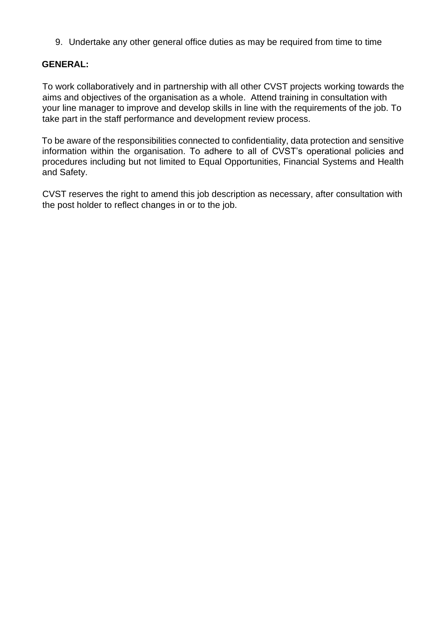9. Undertake any other general office duties as may be required from time to time

#### **GENERAL:**

To work collaboratively and in partnership with all other CVST projects working towards the aims and objectives of the organisation as a whole. Attend training in consultation with your line manager to improve and develop skills in line with the requirements of the job. To take part in the staff performance and development review process.

To be aware of the responsibilities connected to confidentiality, data protection and sensitive information within the organisation. To adhere to all of CVST's operational policies and procedures including but not limited to Equal Opportunities, Financial Systems and Health and Safety.

CVST reserves the right to amend this job description as necessary, after consultation with the post holder to reflect changes in or to the job.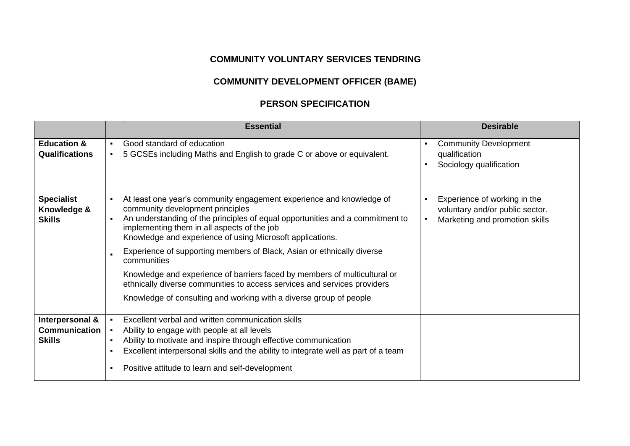# **COMMUNITY VOLUNTARY SERVICES TENDRING**

# **COMMUNITY DEVELOPMENT OFFICER (BAME)**

### **PERSON SPECIFICATION**

|                                                   |                                  | <b>Essential</b>                                                                                                                                                                                                                                                                                                                                                                                                                                                                                                                                                                                                              |   | <b>Desirable</b>                                                                                  |
|---------------------------------------------------|----------------------------------|-------------------------------------------------------------------------------------------------------------------------------------------------------------------------------------------------------------------------------------------------------------------------------------------------------------------------------------------------------------------------------------------------------------------------------------------------------------------------------------------------------------------------------------------------------------------------------------------------------------------------------|---|---------------------------------------------------------------------------------------------------|
| <b>Education &amp;</b>                            | $\blacksquare$                   | Good standard of education                                                                                                                                                                                                                                                                                                                                                                                                                                                                                                                                                                                                    | ٠ | <b>Community Development</b>                                                                      |
| <b>Qualifications</b>                             | $\blacksquare$                   | 5 GCSEs including Maths and English to grade C or above or equivalent.                                                                                                                                                                                                                                                                                                                                                                                                                                                                                                                                                        |   | qualification<br>Sociology qualification                                                          |
| <b>Specialist</b><br>Knowledge &<br><b>Skills</b> | $\blacksquare$<br>$\blacksquare$ | At least one year's community engagement experience and knowledge of<br>community development principles<br>An understanding of the principles of equal opportunities and a commitment to<br>implementing them in all aspects of the job<br>Knowledge and experience of using Microsoft applications.<br>Experience of supporting members of Black, Asian or ethnically diverse<br>communities<br>Knowledge and experience of barriers faced by members of multicultural or<br>ethnically diverse communities to access services and services providers<br>Knowledge of consulting and working with a diverse group of people |   | Experience of working in the<br>voluntary and/or public sector.<br>Marketing and promotion skills |
|                                                   |                                  |                                                                                                                                                                                                                                                                                                                                                                                                                                                                                                                                                                                                                               |   |                                                                                                   |
| Interpersonal &<br><b>Communication</b>           |                                  | Excellent verbal and written communication skills<br>Ability to engage with people at all levels                                                                                                                                                                                                                                                                                                                                                                                                                                                                                                                              |   |                                                                                                   |
| <b>Skills</b>                                     | $\blacksquare$                   | Ability to motivate and inspire through effective communication                                                                                                                                                                                                                                                                                                                                                                                                                                                                                                                                                               |   |                                                                                                   |
|                                                   | $\blacksquare$                   | Excellent interpersonal skills and the ability to integrate well as part of a team                                                                                                                                                                                                                                                                                                                                                                                                                                                                                                                                            |   |                                                                                                   |
|                                                   | $\blacksquare$                   | Positive attitude to learn and self-development                                                                                                                                                                                                                                                                                                                                                                                                                                                                                                                                                                               |   |                                                                                                   |